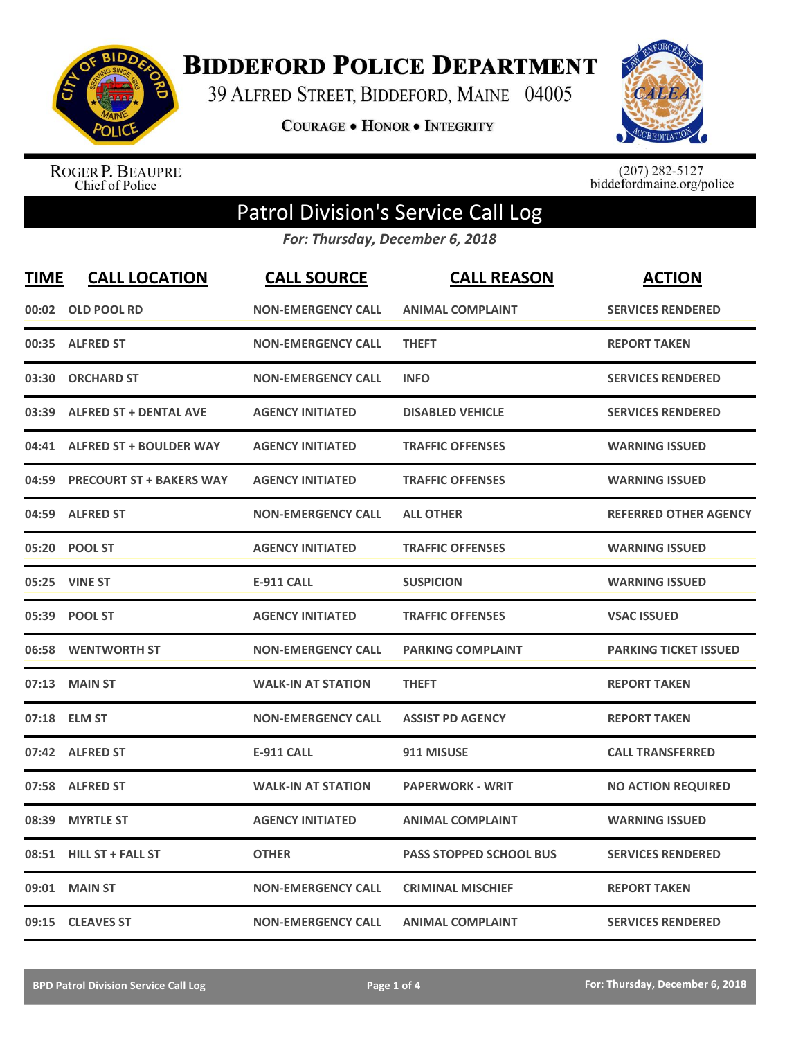

**BIDDEFORD POLICE DEPARTMENT** 

39 ALFRED STREET, BIDDEFORD, MAINE 04005

**COURAGE . HONOR . INTEGRITY** 



ROGER P. BEAUPRE<br>Chief of Police

 $(207)$  282-5127<br>biddefordmaine.org/police

## Patrol Division's Service Call Log

*For: Thursday, December 6, 2018*

| <b>TIME</b> | <b>CALL LOCATION</b>            | <b>CALL SOURCE</b>        | <b>CALL REASON</b>       | <b>ACTION</b>                |
|-------------|---------------------------------|---------------------------|--------------------------|------------------------------|
| 00:02       | <b>OLD POOL RD</b>              | <b>NON-EMERGENCY CALL</b> | <b>ANIMAL COMPLAINT</b>  | <b>SERVICES RENDERED</b>     |
|             | 00:35 ALFRED ST                 | <b>NON-EMERGENCY CALL</b> | <b>THEFT</b>             | <b>REPORT TAKEN</b>          |
| 03:30       | <b>ORCHARD ST</b>               | <b>NON-EMERGENCY CALL</b> | <b>INFO</b>              | <b>SERVICES RENDERED</b>     |
| 03:39       | <b>ALFRED ST + DENTAL AVE</b>   | <b>AGENCY INITIATED</b>   | <b>DISABLED VEHICLE</b>  | <b>SERVICES RENDERED</b>     |
| 04:41       | <b>ALFRED ST + BOULDER WAY</b>  | <b>AGENCY INITIATED</b>   | <b>TRAFFIC OFFENSES</b>  | <b>WARNING ISSUED</b>        |
| 04:59       | <b>PRECOURT ST + BAKERS WAY</b> | <b>AGENCY INITIATED</b>   | <b>TRAFFIC OFFENSES</b>  | <b>WARNING ISSUED</b>        |
| 04:59       | <b>ALFRED ST</b>                | <b>NON-EMERGENCY CALL</b> | <b>ALL OTHER</b>         | <b>REFERRED OTHER AGENCY</b> |
| 05:20       | <b>POOL ST</b>                  | <b>AGENCY INITIATED</b>   | <b>TRAFFIC OFFENSES</b>  | <b>WARNING ISSUED</b>        |
| 05:25       | <b>VINE ST</b>                  | <b>E-911 CALL</b>         | <b>SUSPICION</b>         | <b>WARNING ISSUED</b>        |
|             | 05:39 POOL ST                   | <b>AGENCY INITIATED</b>   | <b>TRAFFIC OFFENSES</b>  | <b>VSAC ISSUED</b>           |
|             | 06:58 WENTWORTH ST              | <b>NON-EMERGENCY CALL</b> | <b>PARKING COMPLAINT</b> | <b>PARKING TICKET ISSUED</b> |
| 07:13       | <b>MAIN ST</b>                  | <b>WALK-IN AT STATION</b> | <b>THEFT</b>             | <b>REPORT TAKEN</b>          |
| 07:18       | <b>ELM ST</b>                   | <b>NON-EMERGENCY CALL</b> | <b>ASSIST PD AGENCY</b>  | <b>REPORT TAKEN</b>          |
| 07:42       | <b>ALFRED ST</b>                | <b>E-911 CALL</b>         | 911 MISUSE               | <b>CALL TRANSFERRED</b>      |
| 07:58       | <b>ALFRED ST</b>                | <b>WALK-IN AT STATION</b> | <b>PAPERWORK - WRIT</b>  | <b>NO ACTION REQUIRED</b>    |
| 08:39       | <b>MYRTLE ST</b>                | <b>AGENCY INITIATED</b>   | <b>ANIMAL COMPLAINT</b>  | <b>WARNING ISSUED</b>        |
| 08:51       | <b>HILL ST + FALL ST</b>        | <b>OTHER</b>              | PASS STOPPED SCHOOL BUS  | <b>SERVICES RENDERED</b>     |
| 09:01       | <b>MAIN ST</b>                  | <b>NON-EMERGENCY CALL</b> | <b>CRIMINAL MISCHIEF</b> | <b>REPORT TAKEN</b>          |
| 09:15       | <b>CLEAVES ST</b>               | <b>NON-EMERGENCY CALL</b> | <b>ANIMAL COMPLAINT</b>  | <b>SERVICES RENDERED</b>     |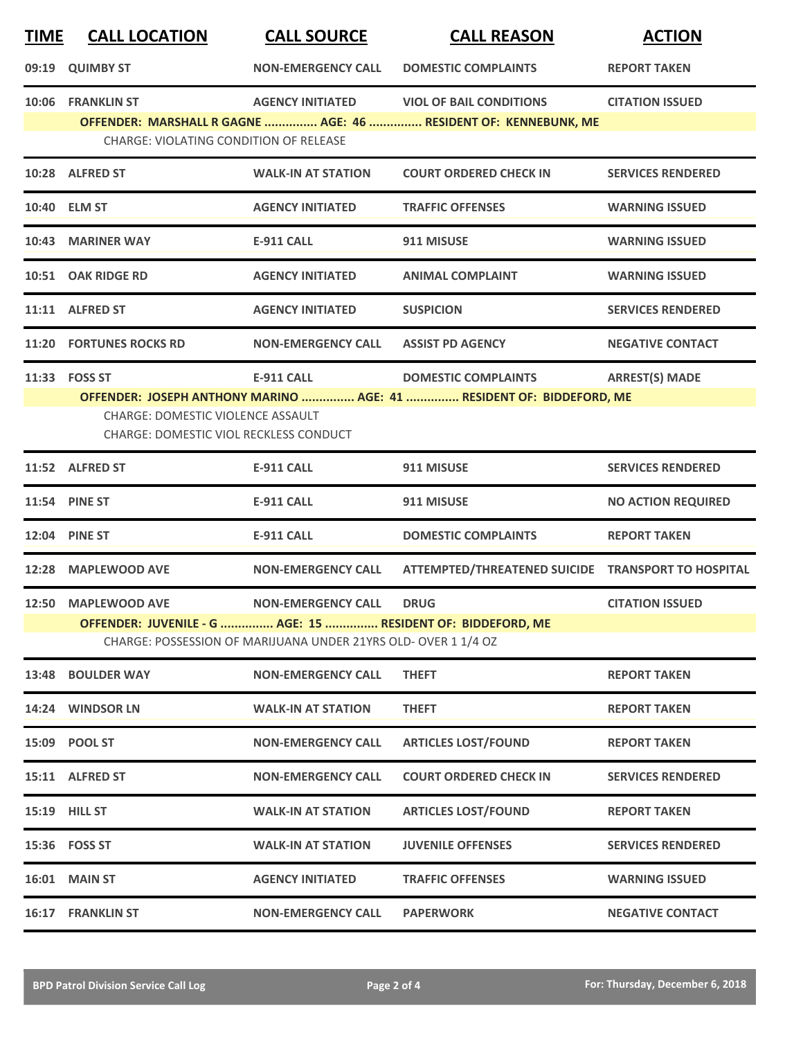| <b>CALL LOCATION</b>                                           | <b>CALL SOURCE</b>        | <b>CALL REASON</b>                                                                                                                         | <b>ACTION</b>                                                                                                                                                                                                                                                                                            |  |  |
|----------------------------------------------------------------|---------------------------|--------------------------------------------------------------------------------------------------------------------------------------------|----------------------------------------------------------------------------------------------------------------------------------------------------------------------------------------------------------------------------------------------------------------------------------------------------------|--|--|
| 09:19 QUIMBY ST                                                | <b>NON-EMERGENCY CALL</b> | <b>DOMESTIC COMPLAINTS</b>                                                                                                                 | <b>REPORT TAKEN</b>                                                                                                                                                                                                                                                                                      |  |  |
| 10:06 FRANKLIN ST                                              |                           |                                                                                                                                            | <b>CITATION ISSUED</b>                                                                                                                                                                                                                                                                                   |  |  |
|                                                                |                           |                                                                                                                                            |                                                                                                                                                                                                                                                                                                          |  |  |
| 10:28 ALFRED ST                                                | <b>WALK-IN AT STATION</b> | <b>COURT ORDERED CHECK IN</b>                                                                                                              | <b>SERVICES RENDERED</b>                                                                                                                                                                                                                                                                                 |  |  |
| 10:40 ELM ST                                                   | <b>AGENCY INITIATED</b>   | <b>TRAFFIC OFFENSES</b>                                                                                                                    | <b>WARNING ISSUED</b>                                                                                                                                                                                                                                                                                    |  |  |
| 10:43 MARINER WAY                                              | <b>E-911 CALL</b>         | 911 MISUSE                                                                                                                                 | <b>WARNING ISSUED</b>                                                                                                                                                                                                                                                                                    |  |  |
| 10:51 OAK RIDGE RD                                             | <b>AGENCY INITIATED</b>   | <b>ANIMAL COMPLAINT</b>                                                                                                                    | <b>WARNING ISSUED</b>                                                                                                                                                                                                                                                                                    |  |  |
| 11:11 ALFRED ST                                                | <b>AGENCY INITIATED</b>   | <b>SUSPICION</b>                                                                                                                           | <b>SERVICES RENDERED</b>                                                                                                                                                                                                                                                                                 |  |  |
| 11:20 FORTUNES ROCKS RD                                        | <b>NON-EMERGENCY CALL</b> | <b>ASSIST PD AGENCY</b>                                                                                                                    | <b>NEGATIVE CONTACT</b>                                                                                                                                                                                                                                                                                  |  |  |
| 11:33 FOSS ST                                                  | <b>E-911 CALL</b>         | <b>DOMESTIC COMPLAINTS</b>                                                                                                                 | <b>ARREST(S) MADE</b>                                                                                                                                                                                                                                                                                    |  |  |
|                                                                |                           |                                                                                                                                            |                                                                                                                                                                                                                                                                                                          |  |  |
| 11:52 ALFRED ST                                                | <b>E-911 CALL</b>         | 911 MISUSE                                                                                                                                 | <b>SERVICES RENDERED</b>                                                                                                                                                                                                                                                                                 |  |  |
| 11:54 PINE ST                                                  | <b>E-911 CALL</b>         | 911 MISUSE                                                                                                                                 | <b>NO ACTION REQUIRED</b>                                                                                                                                                                                                                                                                                |  |  |
| 12:04 PINE ST                                                  | <b>E-911 CALL</b>         | <b>DOMESTIC COMPLAINTS</b>                                                                                                                 | <b>REPORT TAKEN</b>                                                                                                                                                                                                                                                                                      |  |  |
| 12:28 MAPLEWOOD AVE                                            | <b>NON-EMERGENCY CALL</b> |                                                                                                                                            |                                                                                                                                                                                                                                                                                                          |  |  |
| 12:50 MAPLEWOOD AVE                                            | <b>NON-EMERGENCY CALL</b> | <b>DRUG</b>                                                                                                                                | <b>CITATION ISSUED</b>                                                                                                                                                                                                                                                                                   |  |  |
| CHARGE: POSSESSION OF MARIJUANA UNDER 21YRS OLD- OVER 1 1/4 OZ |                           |                                                                                                                                            |                                                                                                                                                                                                                                                                                                          |  |  |
| <b>BOULDER WAY</b>                                             | <b>NON-EMERGENCY CALL</b> | <b>THEFT</b>                                                                                                                               | <b>REPORT TAKEN</b>                                                                                                                                                                                                                                                                                      |  |  |
| 14:24 WINDSOR LN                                               | <b>WALK-IN AT STATION</b> | <b>THEFT</b>                                                                                                                               | <b>REPORT TAKEN</b>                                                                                                                                                                                                                                                                                      |  |  |
| 15:09 POOL ST                                                  | <b>NON-EMERGENCY CALL</b> | <b>ARTICLES LOST/FOUND</b>                                                                                                                 | <b>REPORT TAKEN</b>                                                                                                                                                                                                                                                                                      |  |  |
| 15:11 ALFRED ST                                                | <b>NON-EMERGENCY CALL</b> | <b>COURT ORDERED CHECK IN</b>                                                                                                              | <b>SERVICES RENDERED</b>                                                                                                                                                                                                                                                                                 |  |  |
| 15:19 HILL ST                                                  | <b>WALK-IN AT STATION</b> | <b>ARTICLES LOST/FOUND</b>                                                                                                                 | <b>REPORT TAKEN</b>                                                                                                                                                                                                                                                                                      |  |  |
| 15:36 FOSS ST                                                  | <b>WALK-IN AT STATION</b> | <b>JUVENILE OFFENSES</b>                                                                                                                   | <b>SERVICES RENDERED</b>                                                                                                                                                                                                                                                                                 |  |  |
| <b>16:01 MAIN ST</b>                                           | <b>AGENCY INITIATED</b>   | <b>TRAFFIC OFFENSES</b>                                                                                                                    | <b>WARNING ISSUED</b>                                                                                                                                                                                                                                                                                    |  |  |
| <b>16:17 FRANKLIN ST</b>                                       | <b>NON-EMERGENCY CALL</b> | <b>PAPERWORK</b>                                                                                                                           | <b>NEGATIVE CONTACT</b>                                                                                                                                                                                                                                                                                  |  |  |
|                                                                |                           | <b>CHARGE: VIOLATING CONDITION OF RELEASE</b><br><b>CHARGE: DOMESTIC VIOLENCE ASSAULT</b><br><b>CHARGE: DOMESTIC VIOL RECKLESS CONDUCT</b> | AGENCY INITIATED VIOL OF BAIL CONDITIONS<br>OFFENDER: MARSHALL R GAGNE  AGE: 46  RESIDENT OF: KENNEBUNK, ME<br>OFFENDER: JOSEPH ANTHONY MARINO  AGE: 41  RESIDENT OF: BIDDEFORD, ME<br>ATTEMPTED/THREATENED SUICIDE TRANSPORT TO HOSPITAL<br>OFFENDER: JUVENILE - G  AGE: 15  RESIDENT OF: BIDDEFORD, ME |  |  |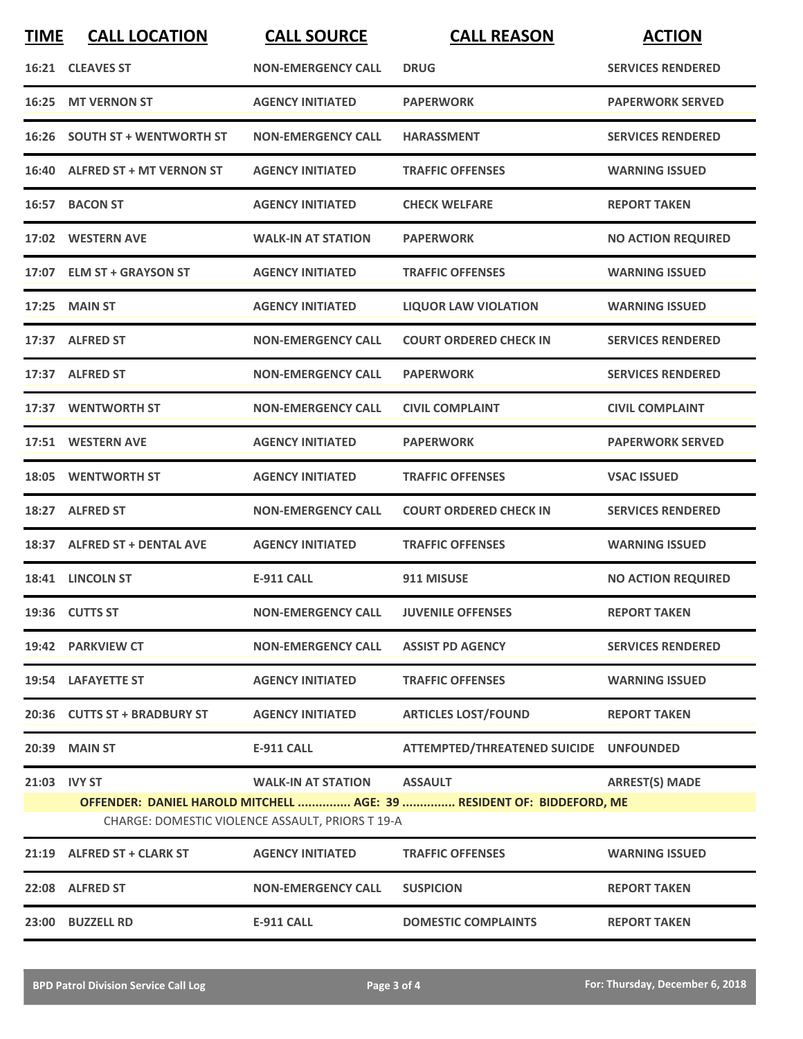| <b>TIME</b>  | <b>CALL LOCATION</b>           | <b>CALL SOURCE</b>                                                            | <b>CALL REASON</b>                                                                      | <b>ACTION</b>             |
|--------------|--------------------------------|-------------------------------------------------------------------------------|-----------------------------------------------------------------------------------------|---------------------------|
|              | 16:21 CLEAVES ST               | <b>NON-EMERGENCY CALL</b>                                                     | <b>DRUG</b>                                                                             | <b>SERVICES RENDERED</b>  |
|              | 16:25 MT VERNON ST             | <b>AGENCY INITIATED</b>                                                       | <b>PAPERWORK</b>                                                                        | <b>PAPERWORK SERVED</b>   |
|              | 16:26 SOUTH ST + WENTWORTH ST  | <b>NON-EMERGENCY CALL</b>                                                     | <b>HARASSMENT</b>                                                                       | <b>SERVICES RENDERED</b>  |
|              | 16:40 ALFRED ST + MT VERNON ST | <b>AGENCY INITIATED</b>                                                       | <b>TRAFFIC OFFENSES</b>                                                                 | <b>WARNING ISSUED</b>     |
|              | 16:57 BACON ST                 | <b>AGENCY INITIATED</b>                                                       | <b>CHECK WELFARE</b>                                                                    | <b>REPORT TAKEN</b>       |
|              | 17:02 WESTERN AVE              | <b>WALK-IN AT STATION</b>                                                     | <b>PAPERWORK</b>                                                                        | <b>NO ACTION REQUIRED</b> |
|              | 17:07 ELM ST + GRAYSON ST      | <b>AGENCY INITIATED</b>                                                       | <b>TRAFFIC OFFENSES</b>                                                                 | <b>WARNING ISSUED</b>     |
|              | 17:25 MAIN ST                  | <b>AGENCY INITIATED</b>                                                       | <b>LIQUOR LAW VIOLATION</b>                                                             | <b>WARNING ISSUED</b>     |
|              | 17:37 ALFRED ST                | <b>NON-EMERGENCY CALL</b>                                                     | <b>COURT ORDERED CHECK IN</b>                                                           | <b>SERVICES RENDERED</b>  |
|              | 17:37 ALFRED ST                | <b>NON-EMERGENCY CALL</b>                                                     | <b>PAPERWORK</b>                                                                        | <b>SERVICES RENDERED</b>  |
|              | 17:37 WENTWORTH ST             | <b>NON-EMERGENCY CALL</b>                                                     | <b>CIVIL COMPLAINT</b>                                                                  | <b>CIVIL COMPLAINT</b>    |
|              | 17:51 WESTERN AVE              | <b>AGENCY INITIATED</b>                                                       | <b>PAPERWORK</b>                                                                        | <b>PAPERWORK SERVED</b>   |
| 18:05        | <b>WENTWORTH ST</b>            | <b>AGENCY INITIATED</b>                                                       | <b>TRAFFIC OFFENSES</b>                                                                 | <b>VSAC ISSUED</b>        |
| 18:27        | <b>ALFRED ST</b>               | <b>NON-EMERGENCY CALL</b>                                                     | <b>COURT ORDERED CHECK IN</b>                                                           | <b>SERVICES RENDERED</b>  |
|              | 18:37 ALFRED ST + DENTAL AVE   | <b>AGENCY INITIATED</b>                                                       | <b>TRAFFIC OFFENSES</b>                                                                 | <b>WARNING ISSUED</b>     |
|              | 18:41 LINCOLN ST               | <b>E-911 CALL</b>                                                             | 911 MISUSE                                                                              | <b>NO ACTION REQUIRED</b> |
|              | 19:36 CUTTS ST                 | <b>NON-EMERGENCY CALL</b>                                                     | <b>JUVENILE OFFENSES</b>                                                                | <b>REPORT TAKEN</b>       |
|              | 19:42 PARKVIEW CT              | <b>NON-EMERGENCY CALL</b>                                                     | <b>ASSIST PD AGENCY</b>                                                                 | <b>SERVICES RENDERED</b>  |
|              | 19:54 LAFAYETTE ST             | <b>AGENCY INITIATED</b>                                                       | <b>TRAFFIC OFFENSES</b>                                                                 | <b>WARNING ISSUED</b>     |
|              | 20:36 CUTTS ST + BRADBURY ST   | <b>AGENCY INITIATED</b>                                                       | <b>ARTICLES LOST/FOUND</b>                                                              | <b>REPORT TAKEN</b>       |
|              | 20:39 MAIN ST                  | <b>E-911 CALL</b>                                                             | ATTEMPTED/THREATENED SUICIDE UNFOUNDED                                                  |                           |
| 21:03 IVY ST |                                | <b>WALK-IN AT STATION</b><br>CHARGE: DOMESTIC VIOLENCE ASSAULT, PRIORS T 19-A | <b>ASSAULT</b><br>OFFENDER: DANIEL HAROLD MITCHELL  AGE: 39  RESIDENT OF: BIDDEFORD, ME | <b>ARREST(S) MADE</b>     |
|              | 21:19 ALFRED ST + CLARK ST     | <b>AGENCY INITIATED</b>                                                       | <b>TRAFFIC OFFENSES</b>                                                                 | <b>WARNING ISSUED</b>     |
|              | 22:08 ALFRED ST                | <b>NON-EMERGENCY CALL</b>                                                     | <b>SUSPICION</b>                                                                        | <b>REPORT TAKEN</b>       |
|              | 23:00 BUZZELL RD               | <b>E-911 CALL</b>                                                             | <b>DOMESTIC COMPLAINTS</b>                                                              | <b>REPORT TAKEN</b>       |